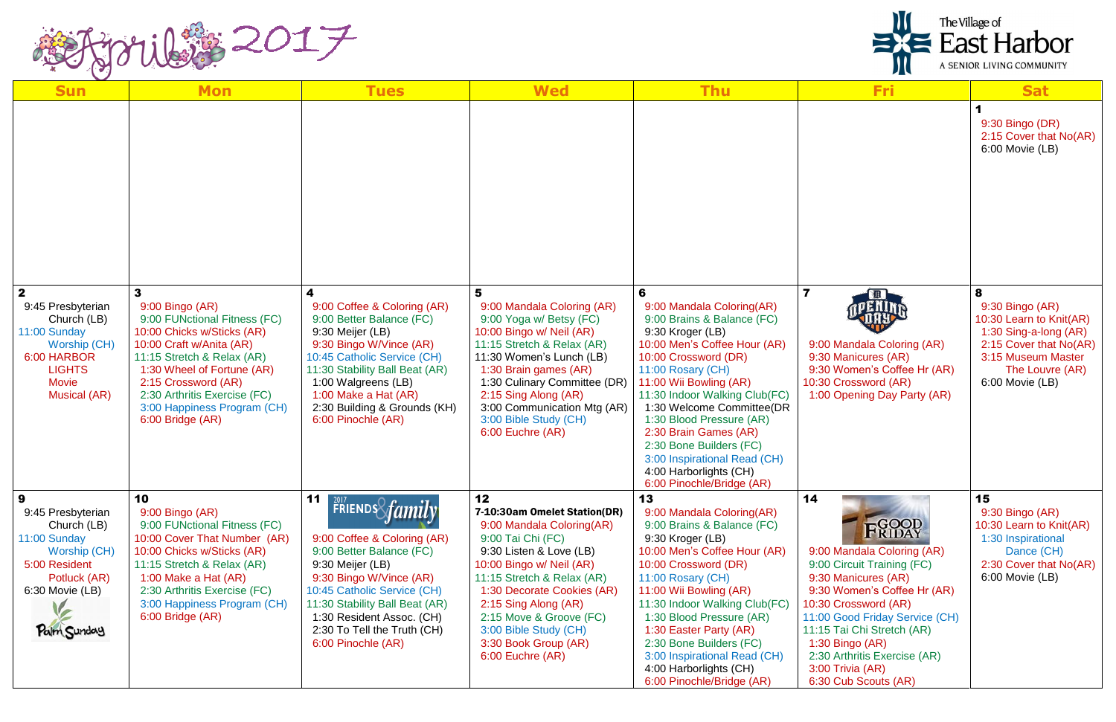

| <b>Sun</b>                                                                                                                                              | <b>Mon</b>                                                                                                                                                                                                                                                                           | <b>Tues</b>                                                                                                                                                                                                                                                                                                | <b>Wed</b>                                                                                                                                                                                                                                                                                                                      | <b>Thu</b>                                                                                                                                                                                                                                                                                                                                                                                                                   | <b>Fri</b>                                                                                                                                                                                                                                                                                                             | <b>Sat</b>                                                                                                                                                     |
|---------------------------------------------------------------------------------------------------------------------------------------------------------|--------------------------------------------------------------------------------------------------------------------------------------------------------------------------------------------------------------------------------------------------------------------------------------|------------------------------------------------------------------------------------------------------------------------------------------------------------------------------------------------------------------------------------------------------------------------------------------------------------|---------------------------------------------------------------------------------------------------------------------------------------------------------------------------------------------------------------------------------------------------------------------------------------------------------------------------------|------------------------------------------------------------------------------------------------------------------------------------------------------------------------------------------------------------------------------------------------------------------------------------------------------------------------------------------------------------------------------------------------------------------------------|------------------------------------------------------------------------------------------------------------------------------------------------------------------------------------------------------------------------------------------------------------------------------------------------------------------------|----------------------------------------------------------------------------------------------------------------------------------------------------------------|
|                                                                                                                                                         |                                                                                                                                                                                                                                                                                      |                                                                                                                                                                                                                                                                                                            |                                                                                                                                                                                                                                                                                                                                 |                                                                                                                                                                                                                                                                                                                                                                                                                              |                                                                                                                                                                                                                                                                                                                        | 9:30 Bingo (DR)<br>2:15 Cover that No(AR)<br>6:00 Movie (LB)                                                                                                   |
| $\mathbf{2}$<br>9:45 Presbyterian<br>Church (LB)<br>11:00 Sunday<br>Worship (CH)<br>6:00 HARBOR<br><b>LIGHTS</b><br><b>Movie</b><br><b>Musical (AR)</b> | 3<br>9:00 Bingo (AR)<br>9:00 FUNctional Fitness (FC)<br>10:00 Chicks w/Sticks (AR)<br>10:00 Craft w/Anita (AR)<br>11:15 Stretch & Relax (AR)<br>1:30 Wheel of Fortune (AR)<br>2:15 Crossword (AR)<br>2:30 Arthritis Exercise (FC)<br>3:00 Happiness Program (CH)<br>6:00 Bridge (AR) | 9:00 Coffee & Coloring (AR)<br>9:00 Better Balance (FC)<br>9:30 Meijer (LB)<br>9:30 Bingo W/Vince (AR)<br>10:45 Catholic Service (CH)<br>11:30 Stability Ball Beat (AR)<br>1:00 Walgreens (LB)<br>1:00 Make a Hat (AR)<br>2:30 Building & Grounds (KH)<br>6:00 Pinochle (AR)                               | 5<br>9:00 Mandala Coloring (AR)<br>9:00 Yoga w/ Betsy (FC)<br>10:00 Bingo w/ Neil (AR)<br>11:15 Stretch & Relax (AR)<br>11:30 Women's Lunch (LB)<br>1:30 Brain games (AR)<br>1:30 Culinary Committee (DR)<br>2:15 Sing Along (AR)<br>3:00 Communication Mtg (AR)<br>3:00 Bible Study (CH)<br>6:00 Euchre (AR)                   | 6<br>9:00 Mandala Coloring(AR)<br>9:00 Brains & Balance (FC)<br>9:30 Kroger (LB)<br>10:00 Men's Coffee Hour (AR)<br>10:00 Crossword (DR)<br>11:00 Rosary (CH)<br>11:00 Wii Bowling (AR)<br>11:30 Indoor Walking Club(FC)<br>1:30 Welcome Committee(DR<br>1:30 Blood Pressure (AR)<br>2:30 Brain Games (AR)<br>2:30 Bone Builders (FC)<br>3:00 Inspirational Read (CH)<br>4:00 Harborlights (CH)<br>6:00 Pinochle/Bridge (AR) | $\overline{\mathbf{7}}$<br>9:00 Mandala Coloring (AR)<br>9:30 Manicures (AR)<br>9:30 Women's Coffee Hr (AR)<br>10:30 Crossword (AR)<br>1:00 Opening Day Party (AR)                                                                                                                                                     | 8<br>9:30 Bingo (AR)<br>10:30 Learn to Knit(AR)<br>1:30 Sing-a-long (AR)<br>2:15 Cover that No(AR)<br>3:15 Museum Master<br>The Louvre (AR)<br>6:00 Movie (LB) |
| 9<br>9:45 Presbyterian<br>Church (LB)<br>11:00 Sunday<br>Worship (CH)<br>5:00 Resident<br>Potluck (AR)<br>6:30 Movie (LB)<br>Palm Sunday                | 10<br>9:00 Bingo (AR)<br>9:00 FUNctional Fitness (FC)<br>10:00 Cover That Number (AR)<br>10:00 Chicks w/Sticks (AR)<br>11:15 Stretch & Relax (AR)<br>1:00 Make a Hat (AR)<br>2:30 Arthritis Exercise (FC)<br>3:00 Happiness Program (CH)<br>6:00 Bridge (AR)                         | 11<br>$\frac{2017}{2017}$ FRIENDS <i>fami</i><br>9:00 Coffee & Coloring (AR)<br>9:00 Better Balance (FC)<br>9:30 Meijer (LB)<br>9:30 Bingo W/Vince (AR)<br>10:45 Catholic Service (CH)<br>11:30 Stability Ball Beat (AR)<br>1:30 Resident Assoc. (CH)<br>2:30 To Tell the Truth (CH)<br>6:00 Pinochle (AR) | 12<br>7-10:30am Omelet Station(DR)<br>9:00 Mandala Coloring(AR)<br>9:00 Tai Chi (FC)<br>9:30 Listen & Love (LB)<br>10:00 Bingo w/ Neil (AR)<br>11:15 Stretch & Relax (AR)<br>1:30 Decorate Cookies (AR)<br>2:15 Sing Along (AR)<br>2:15 Move & Groove (FC)<br>3:00 Bible Study (CH)<br>3:30 Book Group (AR)<br>6:00 Euchre (AR) | 13<br>9:00 Mandala Coloring(AR)<br>9:00 Brains & Balance (FC)<br>9:30 Kroger (LB)<br>10:00 Men's Coffee Hour (AR)<br>10:00 Crossword (DR)<br>11:00 Rosary (CH)<br>11:00 Wii Bowling (AR)<br>11:30 Indoor Walking Club(FC)<br>1:30 Blood Pressure (AR)<br>1:30 Easter Party (AR)<br>2:30 Bone Builders (FC)<br>3:00 Inspirational Read (CH)<br>4:00 Harborlights (CH)<br>6:00 Pinochle/Bridge (AR)                            | 14<br>FGOOD<br>9:00 Mandala Coloring (AR)<br>9:00 Circuit Training (FC)<br>9:30 Manicures (AR)<br>9:30 Women's Coffee Hr (AR)<br>10:30 Crossword (AR)<br>11:00 Good Friday Service (CH)<br>11:15 Tai Chi Stretch (AR)<br>$1:30$ Bingo (AR)<br>2:30 Arthritis Exercise (AR)<br>3:00 Trivia (AR)<br>6:30 Cub Scouts (AR) | 15<br>9:30 Bingo (AR)<br>10:30 Learn to Knit(AR)<br>1:30 Inspirational<br>Dance (CH)<br>2:30 Cover that No(AR)<br>6:00 Movie (LB)                              |